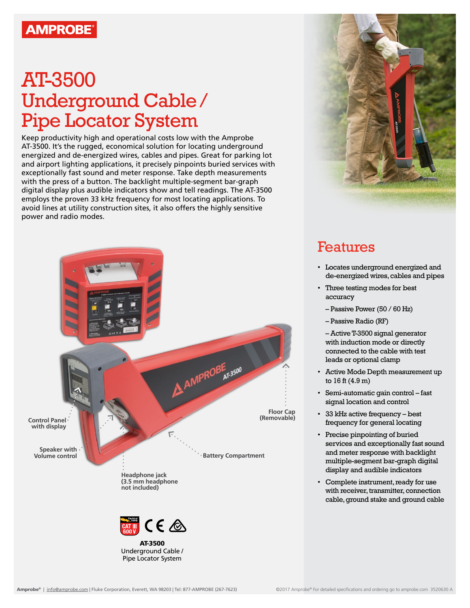## **AMPROBE®**

## AT-3500 Underground Cable / Pipe Locator System

Keep productivity high and operational costs low with the Amprobe AT-3500. It's the rugged, economical solution for locating underground energized and de-energized wires, cables and pipes. Great for parking lot and airport lighting applications, it precisely pinpoints buried services with exceptionally fast sound and meter response. Take depth measurements with the press of a button. The backlight multiple-segment bar-graph digital display plus audible indicators show and tell readings. The AT-3500 employs the proven 33 kHz frequency for most locating applications. To avoid lines at utility construction sites, it also offers the highly sensitive power and radio modes.





## Features

- Locates underground energized and de-energized wires, cables and pipes
- Three testing modes for best accuracy
	- Passive Power (50 / 60 Hz)
	- Passive Radio (RF)

– Active T-3500 signal generator with induction mode or directly connected to the cable with test leads or optional clamp

- Active Mode Depth measurement up to 16 ft (4.9 m)
- Semi-automatic gain control fast signal location and control
- 33 kHz active frequency best frequency for general locating
- Precise pinpointing of buried services and exceptionally fast sound and meter response with backlight multiple-segment bar-graph digital display and audible indicators
- Complete instrument, ready for use with receiver, transmitter, connection cable, ground stake and ground cable